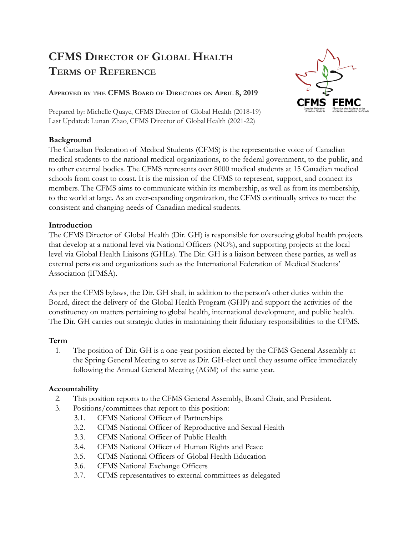# **CFMS DIRECTOR OF GLOBAL HEALTH TERMS OF REFERENCE**

### **APPROVED BY THE CFMS BOARD OF DIRECTORS ON APRIL 8, 2019**

Prepared by: Michelle Quaye, CFMS Director of Global Health (2018-19) Last Updated: Lunan Zhao, CFMS Director of Global Health (2021-22)

### **Background**

The Canadian Federation of Medical Students (CFMS) is the representative voice of Canadian medical students to the national medical organizations, to the federal government, to the public, and to other external bodies. The CFMS represents over 8000 medical students at 15 Canadian medical schools from coast to coast. It is the mission of the CFMS to represent, support, and connect its members. The CFMS aims to communicate within its membership, as well as from its membership, to the world at large. As an ever-expanding organization, the CFMS continually strives to meet the consistent and changing needs of Canadian medical students.

### **Introduction**

The CFMS Director of Global Health (Dir. GH) is responsible for overseeing global health projects that develop at a national level via National Officers (NO's), and supporting projects at the local level via Global Health Liaisons (GHLs). The Dir. GH is a liaison between these parties, as well as external persons and organizations such as the International Federation of Medical Students' Association (IFMSA).

As per the CFMS bylaws, the Dir. GH shall, in addition to the person's other duties within the Board, direct the delivery of the Global Health Program (GHP) and support the activities of the constituency on matters pertaining to global health, international development, and public health. The Dir. GH carries out strategic duties in maintaining their fiduciary responsibilities to the CFMS.

## **Term**

1. The position of Dir. GH is a one-year position elected by the CFMS General Assembly at the Spring General Meeting to serve as Dir. GH-elect until they assume office immediately following the Annual General Meeting (AGM) of the same year.

## **Accountability**

- 2. This position reports to the CFMS General Assembly, Board Chair, and President.
- 3. Positions/committees that report to this position:
	- 3.1. CFMS National Officer of Partnerships
		- 3.2. CFMS National Officer of Reproductive and Sexual Health
		- 3.3. CFMS National Officer of Public Health
		- 3.4. CFMS National Officer of Human Rights and Peace
		- 3.5. CFMS National Officers of Global Health Education
		- 3.6. CFMS National Exchange Officers
		- 3.7. CFMS representatives to external committees as delegated

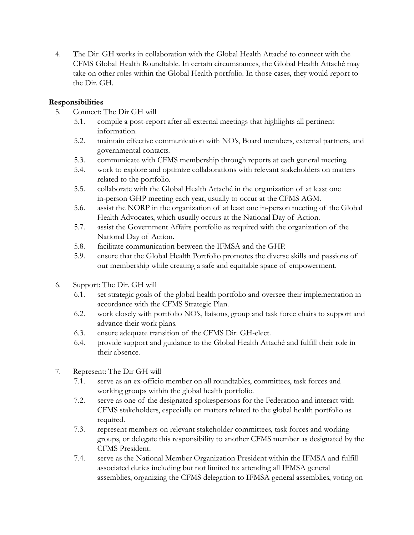4. The Dir. GH works in collaboration with the Global Health Attaché to connect with the CFMS Global Health Roundtable. In certain circumstances, the Global Health Attaché may take on other roles within the Global Health portfolio. In those cases, they would report to the Dir. GH.

#### **Responsibilities**

- 5. Connect: The Dir GH will
	- 5.1. compile a post-report after all external meetings that highlights all pertinent information.
	- 5.2. maintain effective communication with NO's, Board members, external partners, and governmental contacts.
	- 5.3. communicate with CFMS membership through reports at each general meeting.
	- 5.4. work to explore and optimize collaborations with relevant stakeholders on matters related to the portfolio.
	- 5.5. collaborate with the Global Health Attaché in the organization of at least one in-person GHP meeting each year, usually to occur at the CFMS AGM.
	- 5.6. assist the NORP in the organization of at least one in-person meeting of the Global Health Advocates, which usually occurs at the National Day of Action.
	- 5.7. assist the Government Affairs portfolio as required with the organization of the National Day of Action.
	- 5.8. facilitate communication between the IFMSA and the GHP.
	- 5.9. ensure that the Global Health Portfolio promotes the diverse skills and passions of our membership while creating a safe and equitable space of empowerment.
- 6. Support: The Dir. GH will
	- 6.1. set strategic goals of the global health portfolio and oversee their implementation in accordance with the CFMS Strategic Plan.
	- 6.2. work closely with portfolio NO's, liaisons, group and task force chairs to support and advance their work plans.
	- 6.3. ensure adequate transition of the CFMS Dir. GH-elect.
	- 6.4. provide support and guidance to the Global Health Attaché and fulfill their role in their absence.
- 7. Represent: The Dir GH will
	- 7.1. serve as an ex-officio member on all roundtables, committees, task forces and working groups within the global health portfolio.
	- 7.2. serve as one of the designated spokespersons for the Federation and interact with CFMS stakeholders, especially on matters related to the global health portfolio as required.
	- 7.3. represent members on relevant stakeholder committees, task forces and working groups, or delegate this responsibility to another CFMS member as designated by the CFMS President.
	- 7.4. serve as the National Member Organization President within the IFMSA and fulfill associated duties including but not limited to: attending all IFMSA general assemblies, organizing the CFMS delegation to IFMSA general assemblies, voting on